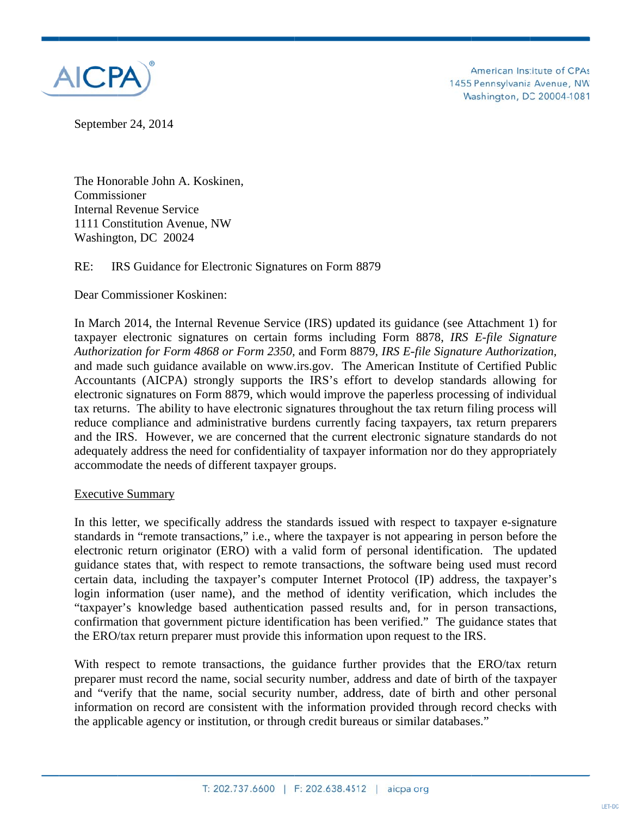

American Institute of CPAs 1455 Pennsylvania Avenue, NW Washington, DC 20004-1081

September 24, 2014

The Honorable John A. Koskinen, Commissioner **Internal Revenue Service** 1111 Constitution Avenue, NW Washington, DC 20024

 $RE:$ IRS Guidance for Electronic Signatures on Form 8879

Dear Commissioner Koskinen:

In March 2014, the Internal Revenue Service (IRS) updated its guidance (see Attachment 1) for taxpayer electronic signatures on certain forms including Form 8878, IRS E-file Signature Authorization for Form 4868 or Form 2350, and Form 8879, IRS E-file Signature Authorization, and made such guidance available on www.irs.gov. The American Institute of Certified Public Accountants (AICPA) strongly supports the IRS's effort to develop standards allowing for electronic signatures on Form 8879, which would improve the paperless processing of individual tax returns. The ability to have electronic signatures throughout the tax return filing process will reduce compliance and administrative burdens currently facing taxpayers, tax return preparers and the IRS. However, we are concerned that the current electronic signature standards do not adequately address the need for confidentiality of taxpayer information nor do they appropriately accommodate the needs of different taxpayer groups.

# **Executive Summary**

In this letter, we specifically address the standards issued with respect to taxpayer e-signature standards in "remote transactions," i.e., where the taxpayer is not appearing in person before the electronic return originator (ERO) with a valid form of personal identification. The updated guidance states that, with respect to remote transactions, the software being used must record certain data, including the taxpayer's computer Internet Protocol (IP) address, the taxpayer's login information (user name), and the method of identity verification, which includes the "taxpayer's knowledge based authentication passed results and, for in person transactions, confirmation that government picture identification has been verified." The guidance states that the ERO/tax return preparer must provide this information upon request to the IRS.

With respect to remote transactions, the guidance further provides that the ERO/tax return preparer must record the name, social security number, address and date of birth of the taxpayer and "verify that the name, social security number, address, date of birth and other personal information on record are consistent with the information provided through record checks with the applicable agency or institution, or through credit bureaus or similar databases."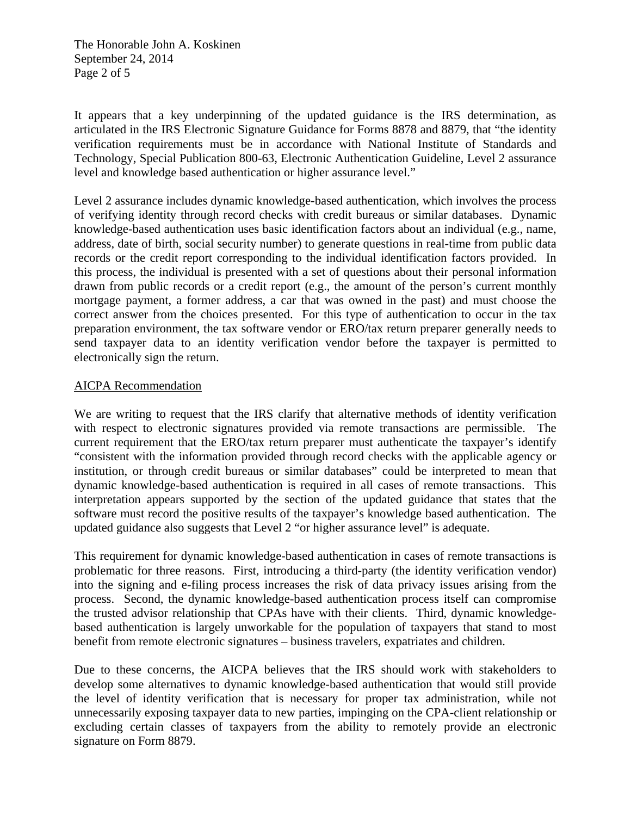The Honorable John A. Koskinen September 24, 2014 Page 2 of 5

It appears that a key underpinning of the updated guidance is the IRS determination, as articulated in the IRS Electronic Signature Guidance for Forms 8878 and 8879, that "the identity verification requirements must be in accordance with National Institute of Standards and Technology, Special Publication 800-63, Electronic Authentication Guideline, Level 2 assurance level and knowledge based authentication or higher assurance level."

Level 2 assurance includes dynamic knowledge-based authentication, which involves the process of verifying identity through record checks with credit bureaus or similar databases. Dynamic knowledge-based authentication uses basic identification factors about an individual (e.g., name, address, date of birth, social security number) to generate questions in real-time from public data records or the credit report corresponding to the individual identification factors provided. In this process, the individual is presented with a set of questions about their personal information drawn from public records or a credit report (e.g., the amount of the person's current monthly mortgage payment, a former address, a car that was owned in the past) and must choose the correct answer from the choices presented. For this type of authentication to occur in the tax preparation environment, the tax software vendor or ERO/tax return preparer generally needs to send taxpayer data to an identity verification vendor before the taxpayer is permitted to electronically sign the return.

# AICPA Recommendation

We are writing to request that the IRS clarify that alternative methods of identity verification with respect to electronic signatures provided via remote transactions are permissible. The current requirement that the ERO/tax return preparer must authenticate the taxpayer's identify "consistent with the information provided through record checks with the applicable agency or institution, or through credit bureaus or similar databases" could be interpreted to mean that dynamic knowledge-based authentication is required in all cases of remote transactions. This interpretation appears supported by the section of the updated guidance that states that the software must record the positive results of the taxpayer's knowledge based authentication. The updated guidance also suggests that Level 2 "or higher assurance level" is adequate.

This requirement for dynamic knowledge-based authentication in cases of remote transactions is problematic for three reasons. First, introducing a third-party (the identity verification vendor) into the signing and e-filing process increases the risk of data privacy issues arising from the process. Second, the dynamic knowledge-based authentication process itself can compromise the trusted advisor relationship that CPAs have with their clients. Third, dynamic knowledgebased authentication is largely unworkable for the population of taxpayers that stand to most benefit from remote electronic signatures – business travelers, expatriates and children.

Due to these concerns, the AICPA believes that the IRS should work with stakeholders to develop some alternatives to dynamic knowledge-based authentication that would still provide the level of identity verification that is necessary for proper tax administration, while not unnecessarily exposing taxpayer data to new parties, impinging on the CPA-client relationship or excluding certain classes of taxpayers from the ability to remotely provide an electronic signature on Form 8879.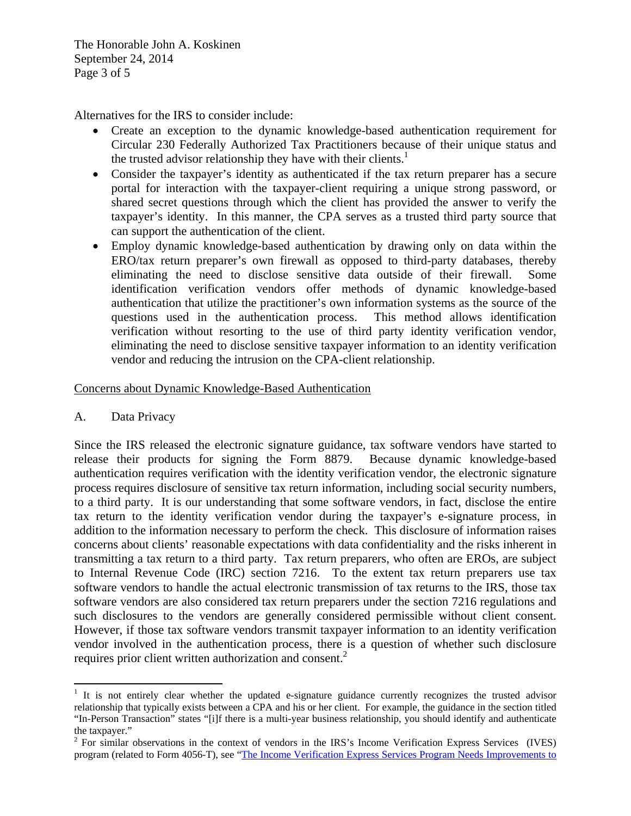The Honorable John A. Koskinen September 24, 2014 Page 3 of 5

Alternatives for the IRS to consider include:

- Create an exception to the dynamic knowledge-based authentication requirement for Circular 230 Federally Authorized Tax Practitioners because of their unique status and the trusted advisor relationship they have with their clients.<sup>1</sup>
- Consider the taxpayer's identity as authenticated if the tax return preparer has a secure portal for interaction with the taxpayer-client requiring a unique strong password, or shared secret questions through which the client has provided the answer to verify the taxpayer's identity. In this manner, the CPA serves as a trusted third party source that can support the authentication of the client.
- Employ dynamic knowledge-based authentication by drawing only on data within the ERO/tax return preparer's own firewall as opposed to third-party databases, thereby eliminating the need to disclose sensitive data outside of their firewall. Some identification verification vendors offer methods of dynamic knowledge-based authentication that utilize the practitioner's own information systems as the source of the questions used in the authentication process. This method allows identification verification without resorting to the use of third party identity verification vendor, eliminating the need to disclose sensitive taxpayer information to an identity verification vendor and reducing the intrusion on the CPA-client relationship.

## Concerns about Dynamic Knowledge-Based Authentication

A. Data Privacy

Since the IRS released the electronic signature guidance, tax software vendors have started to release their products for signing the Form 8879. Because dynamic knowledge-based authentication requires verification with the identity verification vendor, the electronic signature process requires disclosure of sensitive tax return information, including social security numbers, to a third party. It is our understanding that some software vendors, in fact, disclose the entire tax return to the identity verification vendor during the taxpayer's e-signature process, in addition to the information necessary to perform the check. This disclosure of information raises concerns about clients' reasonable expectations with data confidentiality and the risks inherent in transmitting a tax return to a third party. Tax return preparers, who often are EROs, are subject to Internal Revenue Code (IRC) section 7216. To the extent tax return preparers use tax software vendors to handle the actual electronic transmission of tax returns to the IRS, those tax software vendors are also considered tax return preparers under the section 7216 regulations and such disclosures to the vendors are generally considered permissible without client consent. However, if those tax software vendors transmit taxpayer information to an identity verification vendor involved in the authentication process, there is a question of whether such disclosure requires prior client written authorization and consent.<sup>2</sup>

<sup>&</sup>lt;sup>1</sup> It is not entirely clear whether the updated e-signature guidance currently recognizes the trusted advisor relationship that typically exists between a CPA and his or her client. For example, the guidance in the section titled "In-Person Transaction" states "[i]f there is a multi-year business relationship, you should identify and authenticate the taxpayer."

 $2^2$  For similar observations in the context of vendors in the IRS's Income Verification Express Services (IVES) program (related to Form 4056-T), see "The Income Verification Express Services Program Needs Improvements to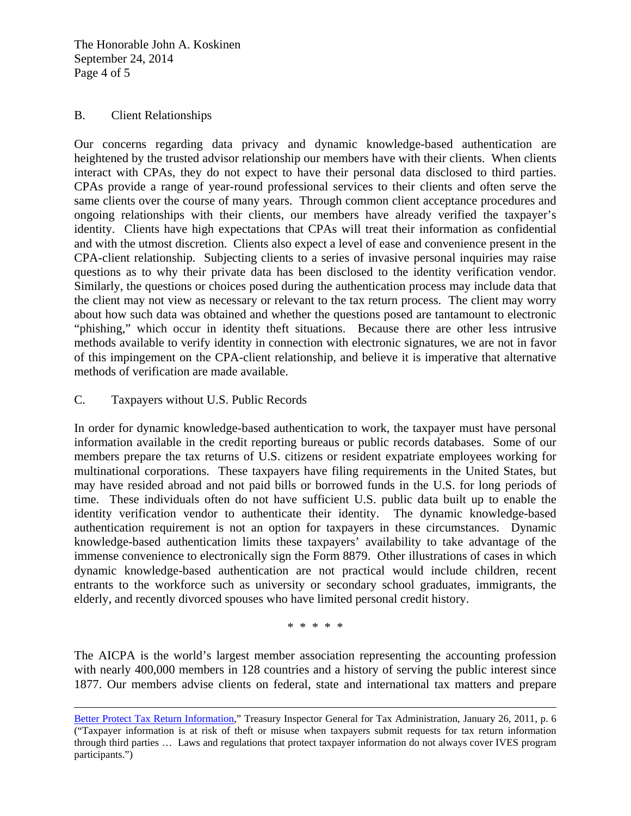The Honorable John A. Koskinen September 24, 2014 Page 4 of 5

## B. Client Relationships

Our concerns regarding data privacy and dynamic knowledge-based authentication are heightened by the trusted advisor relationship our members have with their clients. When clients interact with CPAs, they do not expect to have their personal data disclosed to third parties. CPAs provide a range of year-round professional services to their clients and often serve the same clients over the course of many years. Through common client acceptance procedures and ongoing relationships with their clients, our members have already verified the taxpayer's identity. Clients have high expectations that CPAs will treat their information as confidential and with the utmost discretion. Clients also expect a level of ease and convenience present in the CPA-client relationship. Subjecting clients to a series of invasive personal inquiries may raise questions as to why their private data has been disclosed to the identity verification vendor. Similarly, the questions or choices posed during the authentication process may include data that the client may not view as necessary or relevant to the tax return process. The client may worry about how such data was obtained and whether the questions posed are tantamount to electronic "phishing," which occur in identity theft situations. Because there are other less intrusive methods available to verify identity in connection with electronic signatures, we are not in favor of this impingement on the CPA-client relationship, and believe it is imperative that alternative methods of verification are made available.

# C. Taxpayers without U.S. Public Records

In order for dynamic knowledge-based authentication to work, the taxpayer must have personal information available in the credit reporting bureaus or public records databases. Some of our members prepare the tax returns of U.S. citizens or resident expatriate employees working for multinational corporations. These taxpayers have filing requirements in the United States, but may have resided abroad and not paid bills or borrowed funds in the U.S. for long periods of time. These individuals often do not have sufficient U.S. public data built up to enable the identity verification vendor to authenticate their identity. The dynamic knowledge-based authentication requirement is not an option for taxpayers in these circumstances. Dynamic knowledge-based authentication limits these taxpayers' availability to take advantage of the immense convenience to electronically sign the Form 8879. Other illustrations of cases in which dynamic knowledge-based authentication are not practical would include children, recent entrants to the workforce such as university or secondary school graduates, immigrants, the elderly, and recently divorced spouses who have limited personal credit history.

\* \* \* \* \*

The AICPA is the world's largest member association representing the accounting profession with nearly 400,000 members in 128 countries and a history of serving the public interest since 1877. Our members advise clients on federal, state and international tax matters and prepare

<u> 1989 - Johann Stein, marwolaethau a gweledydd a ganlad y ganlad y ganlad y ganlad y ganlad y ganlad y ganlad</u>

Better Protect Tax Return Information," Treasury Inspector General for Tax Administration, January 26, 2011, p. 6 ("Taxpayer information is at risk of theft or misuse when taxpayers submit requests for tax return information through third parties … Laws and regulations that protect taxpayer information do not always cover IVES program participants.")